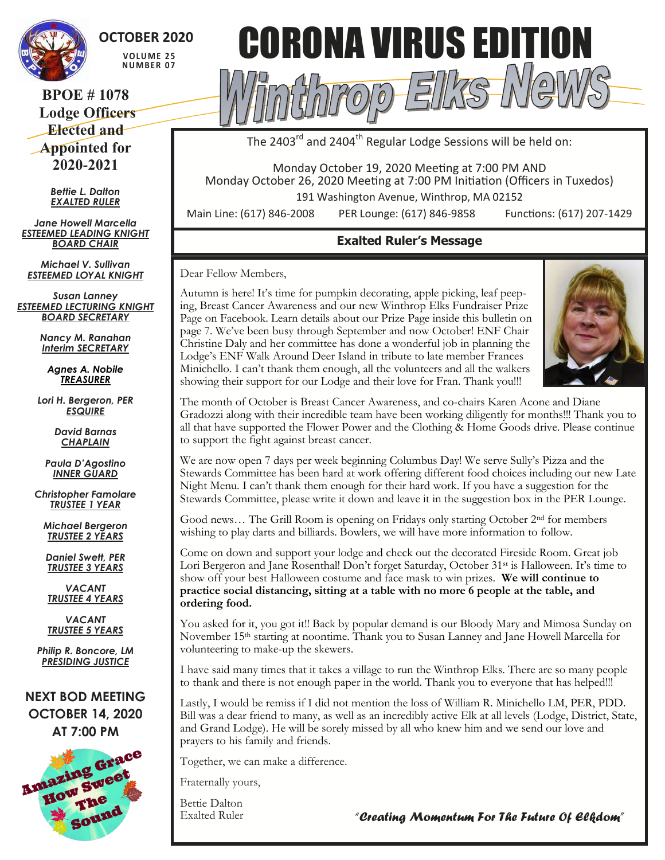

**OCTOBER 2020 V O LU M E 2 5 NU M B E R 0 7**

#### **BPOE # 1078 Lodge Officers Elected and Appointed for 2020-2021**

*Bettie L. Dalton EXALTED RULER*

*Jane Howell Marcella ESTEEMED LEADING KNIGHT BOARD CHAIR*

*Michael V. Sullivan ESTEEMED LOYAL KNIGHT*

*Susan Lanney ESTEEMED LECTURING KNIGHT BOARD SECRETARY*

> *Nancy M. Ranahan Interim SECRETARY*

*Agnes A. Nobile TREASURER*

*Lori H. Bergeron, PER ESQUIRE*

> *David Barnas CHAPLAIN*

*Paula D'Agostino INNER GUARD*

*Christopher Famolare TRUSTEE 1 YEAR*

*Michael Bergeron TRUSTEE 2 YEARS*

*Daniel Swett, PER TRUSTEE 3 YEARS*

*VACANT TRUSTEE 4 YEARS*

*VACANT TRUSTEE 5 YEARS*

*Philip R. Boncore, LM PRESIDING JUSTICE*

**NEXT BOD MEETING OCTOBER 14, 2020 AT 7:00 PM**





The 2403<sup>rd</sup> and 2404<sup>th</sup> Regular Lodge Sessions will be held on:

Monday October 19, 2020 Meeting at 7:00 PM AND Monday October 26, 2020 Meeting at 7:00 PM Initiation (Officers in Tuxedos)

191 Washington Avenue, Winthrop, MA 02152

Main Line: (617) 846-2008 PER Lounge: (617) 846-9858 Functions: (617) 207-1429

## **Exalted Ruler's Message**

Dear Fellow Members,

Autumn is here! It's time for pumpkin decorating, apple picking, leaf peeping, Breast Cancer Awareness and our new Winthrop Elks Fundraiser Prize Page on Facebook. Learn details about our Prize Page inside this bulletin on page 7. We've been busy through September and now October! ENF Chair Christine Daly and her committee has done a wonderful job in planning the Lodge's ENF Walk Around Deer Island in tribute to late member Frances Minichello. I can't thank them enough, all the volunteers and all the walkers showing their support for our Lodge and their love for Fran. Thank you!!!



The month of October is Breast Cancer Awareness, and co-chairs Karen Acone and Diane Gradozzi along with their incredible team have been working diligently for months!!! Thank you to all that have supported the Flower Power and the Clothing & Home Goods drive. Please continue to support the fight against breast cancer.

We are now open 7 days per week beginning Columbus Day! We serve Sully's Pizza and the Stewards Committee has been hard at work offering different food choices including our new Late Night Menu. I can't thank them enough for their hard work. If you have a suggestion for the Stewards Committee, please write it down and leave it in the suggestion box in the PER Lounge.

Good news… The Grill Room is opening on Fridays only starting October 2nd for members wishing to play darts and billiards. Bowlers, we will have more information to follow.

Come on down and support your lodge and check out the decorated Fireside Room. Great job Lori Bergeron and Jane Rosenthal! Don't forget Saturday, October 31<sup>st</sup> is Halloween. It's time to show off your best Halloween costume and face mask to win prizes. **We will continue to practice social distancing, sitting at a table with no more 6 people at the table, and ordering food.** 

You asked for it, you got it!! Back by popular demand is our Bloody Mary and Mimosa Sunday on November 15th starting at noontime. Thank you to Susan Lanney and Jane Howell Marcella for volunteering to make-up the skewers.

I have said many times that it takes a village to run the Winthrop Elks. There are so many people to thank and there is not enough paper in the world. Thank you to everyone that has helped!!!

Lastly, I would be remiss if I did not mention the loss of William R. Minichello LM, PER, PDD. Bill was a dear friend to many, as well as an incredibly active Elk at all levels (Lodge, District, State, and Grand Lodge). He will be sorely missed by all who knew him and we send our love and prayers to his family and friends.

Together, we can make a difference.

Fraternally yours,

Bettie Dalton Exalted Ruler

*"Creating Momentum For The Future Of Elkdom"*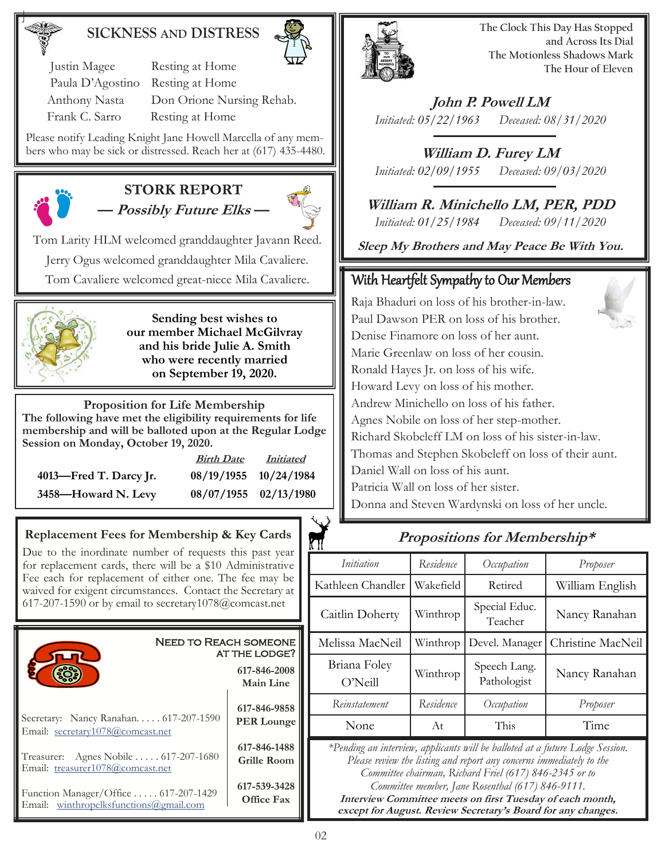#### **SICKNESS AND DISTRESS**



 Justin Magee Resting at Home Paula D'Agostino Resting at Home Anthony Nasta Don Orione Nursing Rehab. Frank C. Sarro Resting at Home

Please notify Leading Knight Jane Howell Marcella of any members who may be sick or distressed. Reach her at (617) 435-4480.



#### **STORK REPORT — Possibly Future Elks —**



Tom Larity HLM welcomed granddaughter Javann Reed. Jerry Ogus welcomed granddaughter Mila Cavaliere. Tom Cavaliere welcomed great-niece Mila Cavaliere.



**Sending best wishes to our member Michael McGilvray and his bride Julie A. Smith who were recently married on September 19, 2020.**

**Proposition for Life Membership The following have met the eligibility requirements for life membership and will be balloted upon at the Regular Lodge Session on Monday, October 19, 2020.**

|                        | <b>Birth Date</b>     | <i>Initiated</i>      |
|------------------------|-----------------------|-----------------------|
| 4013—Fred T. Darcy Jr. | 08/19/1955 10/24/1984 |                       |
| 3458-Howard N. Levy    |                       | 08/07/1955 02/13/1980 |

#### **Replacement Fees for Membership & Key Cards**

Due to the inordinate number of requests this past year for replacement cards, there will be a \$10 Administrative Fee each for replacement of either one. The fee may be waived for exigent circumstances. Contact the Secretary at 617-207-1590 or by email to secretary1078@comcast.net





**The Clock This Day Has Stopped and Across Its Dial The Motionless Shadows Mark The Hour of Eleven**

**John P. Powell LM** *Initiated: 05/22/1963 Deceased: 08/31/2020*

**William D. Furey LM** *Initiated: 02/09/1955 Deceased: 09/03/2020*

**William R. Minichello LM, PER, PDD** *Initiated: 01/25/1984 Deceased: 09/11/2020*

**Sleep My Brothers and May Peace Be With You.**

#### With Heartfelt Sympathy to Our Members

Raja Bhaduri on loss of his brother-in-law. Paul Dawson PER on loss of his brother. Denise Finamore on loss of her aunt. Marie Greenlaw on loss of her cousin. Ronald Hayes Jr. on loss of his wife. Howard Levy on loss of his mother. Andrew Minichello on loss of his father. Agnes Nobile on loss of her step-mother. Richard Skobeleff LM on loss of his sister-in-law. Thomas and Stephen Skobeleff on loss of their aunt. Daniel Wall on loss of his aunt. Patricia Wall on loss of her sister. Donna and Steven Wardynski on loss of her uncle.

#### **Propositions for Membership\***

| .                                                                                                                                                                                                                                                                                                                                |           |                             |                   |  |
|----------------------------------------------------------------------------------------------------------------------------------------------------------------------------------------------------------------------------------------------------------------------------------------------------------------------------------|-----------|-----------------------------|-------------------|--|
| Initiation                                                                                                                                                                                                                                                                                                                       | Residence | Occupation                  | Proposer          |  |
| Kathleen Chandler                                                                                                                                                                                                                                                                                                                | Wakefield | Retired                     | William English   |  |
| Caitlin Doherty                                                                                                                                                                                                                                                                                                                  | Winthrop  | Special Educ.<br>Teacher    | Nancy Ranahan     |  |
| Melissa MacNeil                                                                                                                                                                                                                                                                                                                  | Winthrop  | Devel. Manager              | Christine MacNeil |  |
| Briana Foley<br>O'Neill                                                                                                                                                                                                                                                                                                          | Winthrop  | Speech Lang.<br>Pathologist | Nancy Ranahan     |  |
| Reinstatement                                                                                                                                                                                                                                                                                                                    | Residence | Occupation                  | Proposer          |  |
| None                                                                                                                                                                                                                                                                                                                             | At        | This                        | Time              |  |
| *Pending an interview, applicants will be balloted at a future Lodge Session.<br>Please review the listing and report any concerns immediately to the<br>Committee chairman, Richard Friel (617) 846-2345 or to<br>Committee member, Jane Rosenthal (617) 846-9111.<br>Interview Committee meets on first Tuesday of each month, |           |                             |                   |  |

**except for August. Review Secretary's Board for any changes.**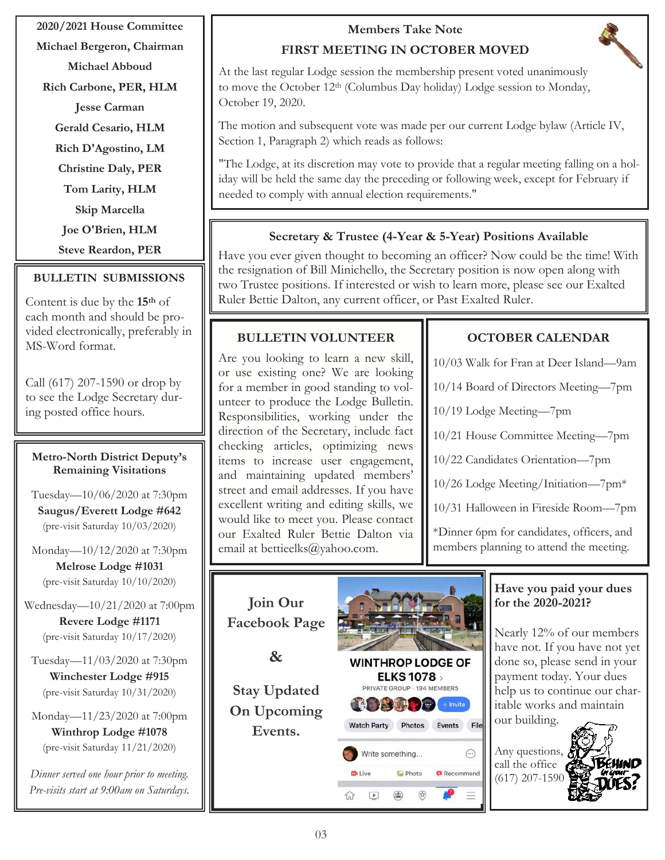#### **2020/2021 House Committee**

**Michael Bergeron, Chairman**

**Michael Abboud**

**Rich Carbone, PER, HLM**

**Jesse Carman**

**Gerald Cesario, HLM**

**Rich D'Agostino, LM**

**Christine Daly, PER**

**Tom Larity, HLM**

**Skip Marcella**

**Joe O'Brien, HLM**

**Steve Reardon, PER**

#### **BULLETIN SUBMISSIONS**

Content is due by the **15th** of each month and should be provided electronically, preferably in MS-Word format.

Call (617) 207-1590 or drop by to see the Lodge Secretary during posted office hours.

#### **Metro-North District Deputy's Remaining Visitations**

Tuesday—10/06/2020 at 7:30pm **Saugus/Everett Lodge #642**  (pre-visit Saturday 10/03/2020)

Monday—10/12/2020 at 7:30pm **Melrose Lodge #1031** (pre-visit Saturday 10/10/2020)

Wednesday—10/21/2020 at 7:00pm **Revere Lodge #1171** (pre-visit Saturday 10/17/2020)

Tuesday—11/03/2020 at 7:30pm **Winchester Lodge #915**  (pre-visit Saturday 10/31/2020)

Monday—11/23/2020 at 7:00pm **Winthrop Lodge #1078**  (pre-visit Saturday 11/21/2020)

*Dinner served one hour prior to meeting. Pre-visits start at 9:00am on Saturdays.*

# **Members Take Note**

## **FIRST MEETING IN OCTOBER MOVED**

At the last regular Lodge session the membership present voted unanimously to move the October 12th (Columbus Day holiday) Lodge session to Monday, October 19, 2020.

The motion and subsequent vote was made per our current Lodge bylaw (Article IV, Section 1, Paragraph 2) which reads as follows:

"The Lodge, at its discretion may vote to provide that a regular meeting falling on a holiday will be held the same day the preceding or following week, except for February if needed to comply with annual election requirements."

#### **Secretary & Trustee (4-Year & 5-Year) Positions Available**

Have you ever given thought to becoming an officer? Now could be the time! With the resignation of Bill Minichello, the Secretary position is now open along with two Trustee positions. If interested or wish to learn more, please see our Exalted Ruler Bettie Dalton, any current officer, or Past Exalted Ruler.

#### **BULLETIN VOLUNTEER**

Are you looking to learn a new skill, or use existing one? We are looking for a member in good standing to volunteer to produce the Lodge Bulletin. Responsibilities, working under the direction of the Secretary, include fact checking articles, optimizing news items to increase user engagement, and maintaining updated members' street and email addresses. If you have excellent writing and editing skills, we would like to meet you. Please contact our Exalted Ruler Bettie Dalton via email at bettieelks@yahoo.com.

#### **OCTOBER CALENDAR**

10/03 Walk for Fran at Deer Island—9am

10/14 Board of Directors Meeting—7pm

10/19 Lodge Meeting—7pm

10/21 House Committee Meeting—7pm

10/22 Candidates Orientation—7pm

10/26 Lodge Meeting/Initiation—7pm\*

10/31 Halloween in Fireside Room—7pm

\*Dinner 6pm for candidates, officers, and members planning to attend the meeting.

**Join Our Facebook Page**



**Stay Updated On Upcoming Events.**



٨

#### **Have you paid your dues for the 2020-2021?**

Nearly 12% of our members have not. If you have not yet done so, please send in your payment today. Your dues help us to continue our charitable works and maintain our building.

Any questions,  $\delta$ call the office  $\epsilon$ (617) 207-1590



⊙ ⊙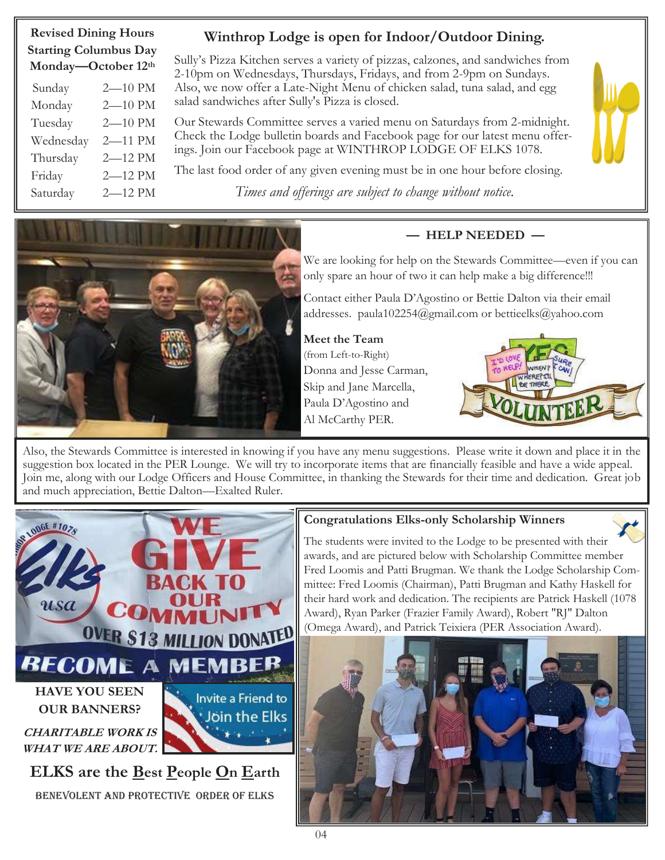# **Winthrop Lodge is open for Indoor/Outdoor Dining.**

**Revised Dining Hours Starting Columbus Day Monday—October 12th** 

| $\cdots$  |             |
|-----------|-------------|
| Sunday    | 2-10 PM     |
| Monday    | $2 - 10$ PM |
| Tuesday   | $2 - 10$ PM |
| Wednesday | 2-11 PM     |
| Thursday  | 2-12 PM     |
| Friday    | 2-12 PM     |
| Saturday  | 2-12 PM     |

Sully's Pizza Kitchen serves a variety of pizzas, calzones, and sandwiches from 2-10pm on Wednesdays, Thursdays, Fridays, and from 2-9pm on Sundays. Also, we now offer a Late-Night Menu of chicken salad, tuna salad, and egg salad sandwiches after Sully's Pizza is closed.

Our Stewards Committee serves a varied menu on Saturdays from 2-midnight. Check the Lodge bulletin boards and Facebook page for our latest menu offerings. Join our Facebook page at WINTHROP LODGE OF ELKS 1078.

The last food order of any given evening must be in one hour before closing.

*Times and offerings are subject to change without notice.*



#### **— HELP NEEDED —**

We are looking for help on the Stewards Committee—even if you can only spare an hour of two it can help make a big difference!!!

Contact either Paula D'Agostino or Bettie Dalton via their email addresses. paula102254@gmail.com or bettieelks@yahoo.com

**Meet the Team**  (from Left-to-Right) Donna and Jesse Carman, Skip and Jane Marcella, Paula D'Agostino and Al McCarthy PER.



Also, the Stewards Committee is interested in knowing if you have any menu suggestions. Please write it down and place it in the suggestion box located in the PER Lounge. We will try to incorporate items that are financially feasible and have a wide appeal. Join me, along with our Lodge Officers and House Committee, in thanking the Stewards for their time and dedication. Great job and much appreciation, Bettie Dalton—Exalted Ruler.



**ELKS are the Best People On Earth** Benevolent AND Protective Order of Elks

#### **Congratulations Elks-only Scholarship Winners**

The students were invited to the Lodge to be presented with their awards, and are pictured below with Scholarship Committee member Fred Loomis and Patti Brugman. We thank the Lodge Scholarship Committee: Fred Loomis (Chairman), Patti Brugman and Kathy Haskell for their hard work and dedication. The recipients are Patrick Haskell (1078 Award), Ryan Parker (Frazier Family Award), Robert "RJ" Dalton (Omega Award), and Patrick Teixiera (PER Association Award).



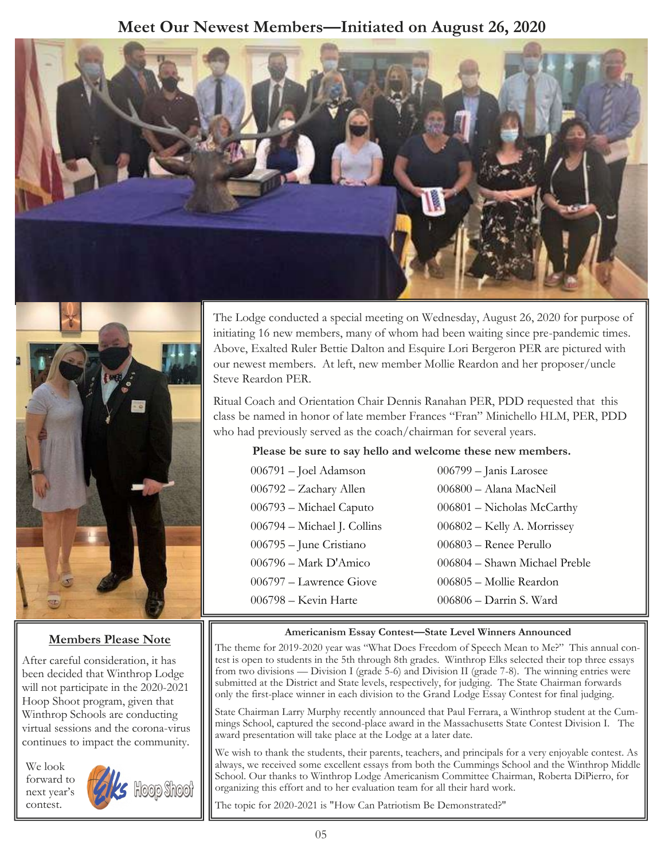# **Meet Our Newest Members—Initiated on August 26, 2020**





#### **Members Please Note**

After careful consideration, it has been decided that Winthrop Lodge will not participate in the 2020-2021 Hoop Shoot program, given that Winthrop Schools are conducting virtual sessions and the corona-virus continues to impact the community.

We look forward to next year's contest.



The Lodge conducted a special meeting on Wednesday, August 26, 2020 for purpose of initiating 16 new members, many of whom had been waiting since pre-pandemic times. Above, Exalted Ruler Bettie Dalton and Esquire Lori Bergeron PER are pictured with our newest members. At left, new member Mollie Reardon and her proposer/uncle Steve Reardon PER.

Ritual Coach and Orientation Chair Dennis Ranahan PER, PDD requested that this class be named in honor of late member Frances "Fran" Minichello HLM, PER, PDD who had previously served as the coach/chairman for several years.

#### **Please be sure to say hello and welcome these new members.**

| 006791 – Joel Adamson       | 006799 - Janis Larosee        |
|-----------------------------|-------------------------------|
| 006792 - Zachary Allen      | 006800 - Alana MacNeil        |
| 006793 - Michael Caputo     | 006801 - Nicholas McCarthy    |
| 006794 - Michael J. Collins | $006802$ – Kelly A. Morrissey |
| 006795 - June Cristiano     | $006803$ – Renee Perullo      |
| 006796 – Mark D'Amico       | 006804 - Shawn Michael Preble |
| 006797 – Lawrence Giove     | 006805 - Mollie Reardon       |
| 006798 - Kevin Harte        | 006806 - Darrin S. Ward       |
|                             |                               |

#### **Americanism Essay Contest—State Level Winners Announced**

The theme for 2019-2020 year was "What Does Freedom of Speech Mean to Me?" This annual contest is open to students in the 5th through 8th grades. Winthrop Elks selected their top three essays from two divisions — Division I (grade 5-6) and Division II (grade 7-8). The winning entries were submitted at the District and State levels, respectively, for judging. The State Chairman forwards only the first-place winner in each division to the Grand Lodge Essay Contest for final judging.

State Chairman Larry Murphy recently announced that Paul Ferrara, a Winthrop student at the Cummings School, captured the second-place award in the Massachusetts State Contest Division I. The award presentation will take place at the Lodge at a later date.

We wish to thank the students, their parents, teachers, and principals for a very enjoyable contest. As always, we received some excellent essays from both the Cummings School and the Winthrop Middle School. Our thanks to Winthrop Lodge Americanism Committee Chairman, Roberta DiPierro, for organizing this effort and to her evaluation team for all their hard work.

The topic for 2020-2021 is "How Can Patriotism Be Demonstrated?"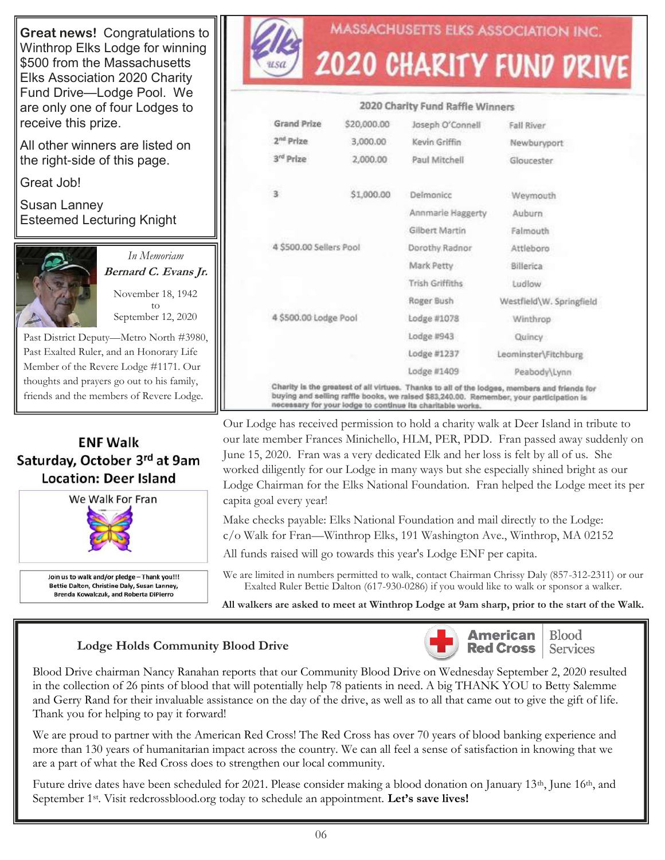**Great news!** Congratulations to Winthrop Elks Lodge for winning \$500 from the Massachusetts Elks Association 2020 Charity Fund Drive—Lodge Pool. We are only one of four Lodges to receive this prize.

All other winners are listed on the right-side of this page.

Great Job!

Susan Lanney Esteemed Lecturing Knight



*In Memoriam*  **Bernard C. Evans Jr.**

November 18, 1942 to September 12, 2020

Past District Deputy—Metro North #3980, Past Exalted Ruler, and an Honorary Life Member of the Revere Lodge #1171. Our thoughts and prayers go out to his family, friends and the members of Revere Lodge.

### **ENF Walk** Saturday, October 3rd at 9am **Location: Deer Island**



Join us to walk and/or pledge - Thank you!!! Bettie Dalton, Christine Daly, Susan Lanney, Brenda Kowalczuk, and Roberta DiPierro



# **MASSACHUSETTS ELKS ASSOCIATION INC. 2020 CHARITY FUND DRIVE**

#### 2020 Charity Fund Raffle Winners **Grand Prize** \$20,000.00 Joseph O'Connell Fall River 2<sup>nd</sup> Prize 3,000.00 Kevin Griffin Newburyport 3<sup>rd</sup> Prize 2,000.00 Paul Mitchell Gloucester 3 \$1,000.00 Delmonicc Weymouth Annmarle Haggerty Auburn **Gilbert Martin** Falmouth 4 \$500.00 Sellers Pool Dorothy Radnor Attleboro Mark Petty Billerica Trish Griffiths Ludlow Roger Bush Westfield\W. Springfield 4 \$500.00 Lodge Pool Lodge #1078 Winthrop Lodge #943 Quincy Lodge #1237 Leominster\Fitchburg Lodge #1409 Peabody\Lynn Charity is the greatest of all virtues. Thanks to all of the lodges, members and friends for buying and selling raffle books, we raised \$83,240.00. Remember, your participation is<br>necessary for your lodge to continue its charitable works.

Our Lodge has received permission to hold a charity walk at Deer Island in tribute to our late member Frances Minichello, HLM, PER, PDD. Fran passed away suddenly on June 15, 2020. Fran was a very dedicated Elk and her loss is felt by all of us. She worked diligently for our Lodge in many ways but she especially shined bright as our Lodge Chairman for the Elks National Foundation. Fran helped the Lodge meet its per capita goal every year!

Make checks payable: Elks National Foundation and mail directly to the Lodge:

c/o Walk for Fran—Winthrop Elks, 191 Washington Ave., Winthrop, MA 02152

All funds raised will go towards this year's Lodge ENF per capita.

We are limited in numbers permitted to walk, contact Chairman Chrissy Daly (857-312-2311) or our Exalted Ruler Bettie Dalton (617-930-0286) if you would like to walk or sponsor a walker.

**All walkers are asked to meet at Winthrop Lodge at 9am sharp, prior to the start of the Walk.**

#### **Lodge Holds Community Blood Drive**



**Blood** Services

Blood Drive chairman Nancy Ranahan reports that our Community Blood Drive on Wednesday September 2, 2020 resulted in the collection of 26 pints of blood that will potentially help 78 patients in need. A big THANK YOU to Betty Salemme and Gerry Rand for their invaluable assistance on the day of the drive, as well as to all that came out to give the gift of life. Thank you for helping to pay it forward!

We are proud to partner with the American Red Cross! The Red Cross has over 70 years of blood banking experience and more than 130 years of humanitarian impact across the country. We can all feel a sense of satisfaction in knowing that we are a part of what the Red Cross does to strengthen our local community.

Future drive dates have been scheduled for 2021. Please consider making a blood donation on January 13<sup>th</sup>, June 16<sup>th</sup>, and September 1st. Visit redcrossblood.org today to schedule an appointment. **Let's save lives!**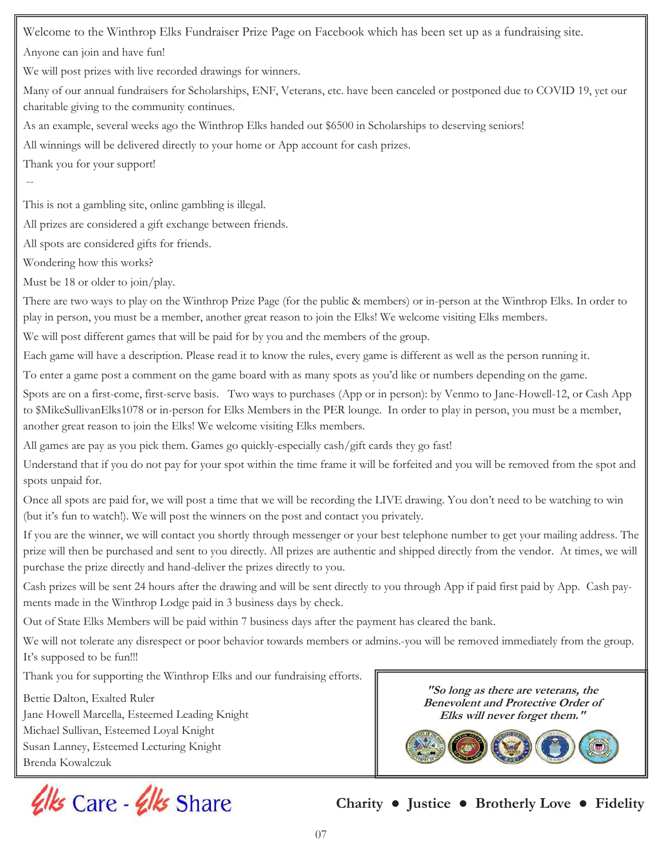Welcome to the Winthrop Elks Fundraiser Prize Page on Facebook which has been set up as a fundraising site.

Anyone can join and have fun!

We will post prizes with live recorded drawings for winners.

Many of our annual fundraisers for Scholarships, ENF, Veterans, etc. have been canceled or postponed due to COVID 19, yet our charitable giving to the community continues.

As an example, several weeks ago the Winthrop Elks handed out \$6500 in Scholarships to deserving seniors!

All winnings will be delivered directly to your home or App account for cash prizes.

Thank you for your support!

--

This is not a gambling site, online gambling is illegal.

All prizes are considered a gift exchange between friends.

All spots are considered gifts for friends.

Wondering how this works?

Must be 18 or older to join/play.

There are two ways to play on the Winthrop Prize Page (for the public & members) or in-person at the Winthrop Elks. In order to play in person, you must be a member, another great reason to join the Elks! We welcome visiting Elks members.

We will post different games that will be paid for by you and the members of the group.

Each game will have a description. Please read it to know the rules, every game is different as well as the person running it.

To enter a game post a comment on the game board with as many spots as you'd like or numbers depending on the game.

Spots are on a first-come, first-serve basis. Two ways to purchases (App or in person): by Venmo to Jane-Howell-12, or Cash App to \$MikeSullivanElks1078 or in-person for Elks Members in the PER lounge. In order to play in person, you must be a member, another great reason to join the Elks! We welcome visiting Elks members.

All games are pay as you pick them. Games go quickly-especially cash/gift cards they go fast!

Understand that if you do not pay for your spot within the time frame it will be forfeited and you will be removed from the spot and spots unpaid for.

Once all spots are paid for, we will post a time that we will be recording the LIVE drawing. You don't need to be watching to win (but it's fun to watch!). We will post the winners on the post and contact you privately.

If you are the winner, we will contact you shortly through messenger or your best telephone number to get your mailing address. The prize will then be purchased and sent to you directly. All prizes are authentic and shipped directly from the vendor. At times, we will purchase the prize directly and hand-deliver the prizes directly to you.

Cash prizes will be sent 24 hours after the drawing and will be sent directly to you through App if paid first paid by App. Cash payments made in the Winthrop Lodge paid in 3 business days by check.

Out of State Elks Members will be paid within 7 business days after the payment has cleared the bank.

We will not tolerate any disrespect or poor behavior towards members or admins.-you will be removed immediately from the group. It's supposed to be fun!!!

Thank you for supporting the Winthrop Elks and our fundraising efforts.

Bettie Dalton, Exalted Ruler Jane Howell Marcella, Esteemed Leading Knight Michael Sullivan, Esteemed Loyal Knight Susan Lanney, Esteemed Lecturing Knight Brenda Kowalczuk



**Charity ● Justice ● Brotherly Love ● Fidelity**

**"So long as there are veterans, the Benevolent and Protective Order of Elks will never forget them."**